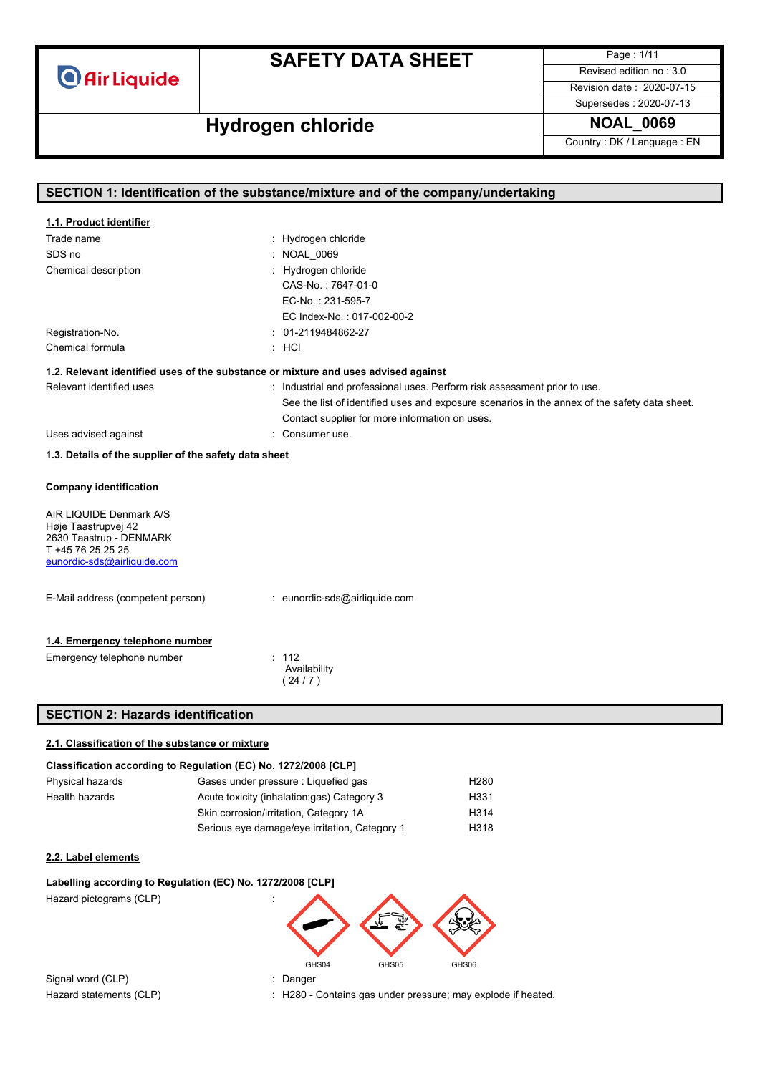# **SAFETY DATA SHEET**

Page : 1/11 Revised edition no : 3.0

Revision date : 2020-07-15 Supersedes : 2020-07-13

# **Hydrogen chloride NOAL\_0069**

Country : DK / Language : EN

| SECTION 1: Identification of the substance/mixture and of the company/undertaking |                                                                                               |  |
|-----------------------------------------------------------------------------------|-----------------------------------------------------------------------------------------------|--|
| 1.1. Product identifier                                                           |                                                                                               |  |
| Trade name                                                                        | : Hydrogen chloride                                                                           |  |
| SDS no                                                                            | : NOAL 0069                                                                                   |  |
| Chemical description                                                              | Hydrogen chloride                                                                             |  |
|                                                                                   | CAS-No.: 7647-01-0                                                                            |  |
|                                                                                   | EC-No.: 231-595-7                                                                             |  |
|                                                                                   | EC Index-No.: 017-002-00-2                                                                    |  |
| Registration-No.                                                                  | : 01-2119484862-27                                                                            |  |
| Chemical formula                                                                  | $:$ HCI                                                                                       |  |
|                                                                                   | 1.2. Relevant identified uses of the substance or mixture and uses advised against            |  |
| Relevant identified uses                                                          | : Industrial and professional uses. Perform risk assessment prior to use.                     |  |
|                                                                                   | See the list of identified uses and exposure scenarios in the annex of the safety data sheet. |  |
|                                                                                   | Contact supplier for more information on uses.                                                |  |
| Uses advised against                                                              | Consumer use.                                                                                 |  |
| 1.3. Details of the supplier of the safety data sheet                             |                                                                                               |  |
|                                                                                   |                                                                                               |  |
| <b>Company identification</b>                                                     |                                                                                               |  |
| AIR LIQUIDE Denmark A/S                                                           |                                                                                               |  |
| Høje Taastrupvej 42                                                               |                                                                                               |  |
| 2630 Taastrup - DENMARK                                                           |                                                                                               |  |
| T +45 76 25 25 25<br>eunordic-sds@airliquide.com                                  |                                                                                               |  |
|                                                                                   |                                                                                               |  |
| E-Mail address (competent person)                                                 | : eunordic-sds@airliquide.com                                                                 |  |
|                                                                                   |                                                                                               |  |
| 1.4. Emergency telephone number                                                   |                                                                                               |  |
| Emergency telephone number                                                        | : 112                                                                                         |  |
|                                                                                   | Availability                                                                                  |  |
|                                                                                   | (24/7)                                                                                        |  |
| <b>SECTION 2: Hazards identification</b>                                          |                                                                                               |  |
|                                                                                   |                                                                                               |  |
| 2.1. Classification of the substance or mixture                                   |                                                                                               |  |
|                                                                                   | Classification according to Regulation (EC) No. 1272/2008 [CLP]                               |  |
| Physical hazards                                                                  | H280<br>Gases under pressure : Liquefied gas                                                  |  |
| <b>Health hazards</b>                                                             | Acute toxicity (inhalation:gas) Category 3<br>H331                                            |  |
|                                                                                   | Skin corrosion/irritation, Category 1A<br>H314                                                |  |
|                                                                                   | Serious eye damage/eye irritation, Category 1<br>H318                                         |  |

#### **2.2. Label elements**

# **Labelling according to Regulation (EC) No. 1272/2008 [CLP]** Hazard pictograms (CLP) GHS04 GHS05 GHS06

Signal word (CLP) in the state of the Signal word (CLP) in the Signal word of the Signal and Signal Signal and Signal and Signal and Signal and Signal and Signal and Signal and Signal and Signal and Signal and Signal and S

Hazard statements (CLP) : H280 - Contains gas under pressure; may explode if heated.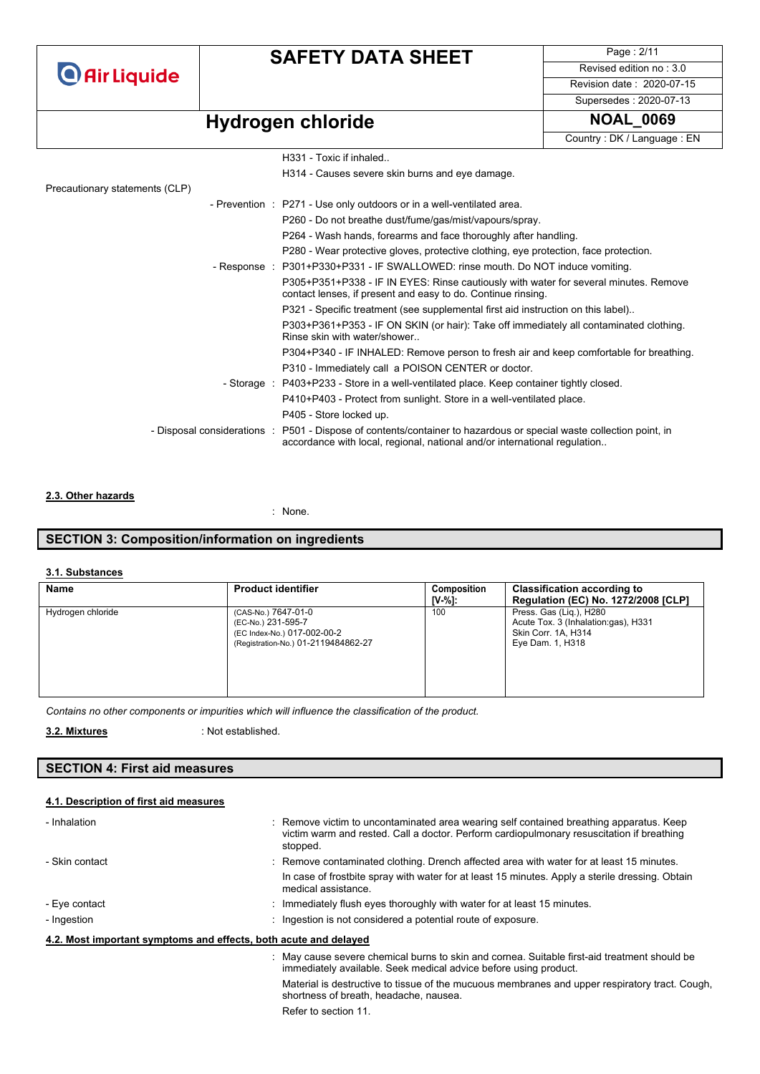### **SAFETY DATA SHEET**

Page : 2/11 Revised edition no : 3.0 Revision date : 2020-07-15

# **Hydrogen** chloride

| Supersedes: 2020-07-13     |
|----------------------------|
| <b>NOAL 0069</b>           |
| Country: DK / Language: EN |

|                                | H331 - Toxic if inhaled                                                                                                                                                                          |
|--------------------------------|--------------------------------------------------------------------------------------------------------------------------------------------------------------------------------------------------|
|                                | H314 - Causes severe skin burns and eye damage.                                                                                                                                                  |
| Precautionary statements (CLP) |                                                                                                                                                                                                  |
|                                | - Prevention : P271 - Use only outdoors or in a well-ventilated area.                                                                                                                            |
|                                | P260 - Do not breathe dust/fume/gas/mist/vapours/spray.                                                                                                                                          |
|                                | P264 - Wash hands, forearms and face thoroughly after handling.                                                                                                                                  |
|                                | P280 - Wear protective gloves, protective clothing, eye protection, face protection.                                                                                                             |
|                                | - Response : P301+P330+P331 - IF SWALLOWED: rinse mouth. Do NOT induce vomiting.                                                                                                                 |
|                                | P305+P351+P338 - IF IN EYES: Rinse cautiously with water for several minutes. Remove<br>contact lenses, if present and easy to do. Continue rinsing.                                             |
|                                | P321 - Specific treatment (see supplemental first aid instruction on this label)                                                                                                                 |
|                                | P303+P361+P353 - IF ON SKIN (or hair): Take off immediately all contaminated clothing.<br>Rinse skin with water/shower                                                                           |
|                                | P304+P340 - IF INHALED: Remove person to fresh air and keep comfortable for breathing.                                                                                                           |
|                                | P310 - Immediately call a POISON CENTER or doctor.                                                                                                                                               |
|                                | - Storage : P403+P233 - Store in a well-ventilated place. Keep container tightly closed.                                                                                                         |
|                                | P410+P403 - Protect from sunlight. Store in a well-ventilated place.                                                                                                                             |
|                                | P405 - Store locked up.                                                                                                                                                                          |
|                                | - Disposal considerations : P501 - Dispose of contents/container to hazardous or special waste collection point, in<br>accordance with local, regional, national and/or international regulation |
|                                |                                                                                                                                                                                                  |

### **2.3. Other hazards**

: None.

### **SECTION 3: Composition/information on ingredients**

### **3.1. Substances**

| Name              | <b>Product identifier</b>                                                                                       | Composition<br>IV-%1: | <b>Classification according to</b><br><b>Regulation (EC) No. 1272/2008 [CLP]</b>                          |
|-------------------|-----------------------------------------------------------------------------------------------------------------|-----------------------|-----------------------------------------------------------------------------------------------------------|
| Hydrogen chloride | (CAS-No.) 7647-01-0<br>(EC-No.) 231-595-7<br>(EC Index-No.) 017-002-00-2<br>(Registration-No.) 01-2119484862-27 | 100                   | Press. Gas (Lig.), H280<br>Acute Tox. 3 (Inhalation:gas), H331<br>Skin Corr. 1A, H314<br>Eye Dam. 1, H318 |

*Contains no other components or impurities which will influence the classification of the product.*

 : Not established. **3.2. Mixtures** 

### **SECTION 4: First aid measures**

### **4.1. Description of first aid measures**

| - Inhalation   | : Remove victim to uncontaminated area wearing self contained breathing apparatus. Keep<br>victim warm and rested. Call a doctor. Perform cardiopulmonary resuscitation if breathing<br>stopped. |
|----------------|--------------------------------------------------------------------------------------------------------------------------------------------------------------------------------------------------|
| - Skin contact | : Remove contaminated clothing. Drench affected area with water for at least 15 minutes.                                                                                                         |
|                | In case of frostbite spray with water for at least 15 minutes. Apply a sterile dressing. Obtain<br>medical assistance.                                                                           |
| - Eye contact  | : Immediately flush eyes thoroughly with water for at least 15 minutes.                                                                                                                          |
| - Ingestion    | : Ingestion is not considered a potential route of exposure.                                                                                                                                     |
|                | 4.2. Most important symptoms and effects, both acute and delayed                                                                                                                                 |
|                | : May cause severe chemical burns to skin and cornea. Suitable first-aid treatment should be<br>immediately available. Seek medical advice before using product.                                 |
|                | Material is destructive to tissue of the mucuous membranes and upper respiratory tract. Cough,<br>shortness of breath, headache, nausea.                                                         |

Refer to section 11.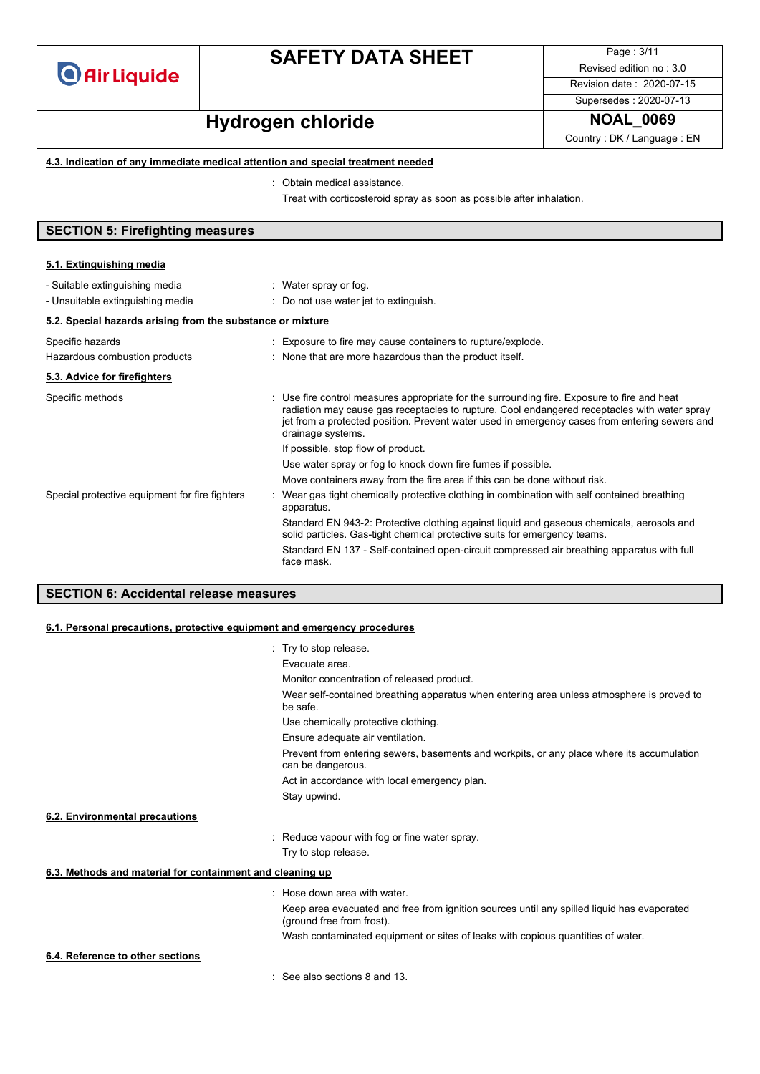

Page : 3/11 Revised edition no : 3.0 Revision date : 2020-07-15

Supersedes : 2020-07-13

# **Hydrogen chloride NOAL\_0069**

Country : DK / Language : EN

### **4.3. Indication of any immediate medical attention and special treatment needed**

: Obtain medical assistance.

Treat with corticosteroid spray as soon as possible after inhalation.

### **SECTION 5: Firefighting measures**

| 5.1. Extinguishing media                                           |                                                                                                                                                                                                                                                                                                                 |  |  |
|--------------------------------------------------------------------|-----------------------------------------------------------------------------------------------------------------------------------------------------------------------------------------------------------------------------------------------------------------------------------------------------------------|--|--|
| - Suitable extinguishing media<br>- Unsuitable extinguishing media | : Water spray or fog.<br>: Do not use water jet to extinguish.                                                                                                                                                                                                                                                  |  |  |
| 5.2. Special hazards arising from the substance or mixture         |                                                                                                                                                                                                                                                                                                                 |  |  |
| Specific hazards<br>Hazardous combustion products                  | : Exposure to fire may cause containers to rupture/explode.<br>: None that are more hazardous than the product itself.                                                                                                                                                                                          |  |  |
| 5.3. Advice for firefighters                                       |                                                                                                                                                                                                                                                                                                                 |  |  |
| Specific methods                                                   | Use fire control measures appropriate for the surrounding fire. Exposure to fire and heat<br>radiation may cause gas receptacles to rupture. Cool endangered receptacles with water spray<br>jet from a protected position. Prevent water used in emergency cases from entering sewers and<br>drainage systems. |  |  |
|                                                                    | If possible, stop flow of product.                                                                                                                                                                                                                                                                              |  |  |
|                                                                    | Use water spray or fog to knock down fire fumes if possible.                                                                                                                                                                                                                                                    |  |  |
|                                                                    | Move containers away from the fire area if this can be done without risk.                                                                                                                                                                                                                                       |  |  |
| Special protective equipment for fire fighters                     | Wear gas tight chemically protective clothing in combination with self contained breathing<br>apparatus.                                                                                                                                                                                                        |  |  |
|                                                                    | Standard EN 943-2: Protective clothing against liquid and gaseous chemicals, aerosols and<br>solid particles. Gas-tight chemical protective suits for emergency teams.                                                                                                                                          |  |  |
|                                                                    | Standard EN 137 - Self-contained open-circuit compressed air breathing apparatus with full<br>face mask.                                                                                                                                                                                                        |  |  |
|                                                                    |                                                                                                                                                                                                                                                                                                                 |  |  |

### **SECTION 6: Accidental release measures**

#### **6.1. Personal precautions, protective equipment and emergency procedures**

|                                                           | : Try to stop release.                                                                                                  |
|-----------------------------------------------------------|-------------------------------------------------------------------------------------------------------------------------|
|                                                           | Evacuate area.                                                                                                          |
|                                                           | Monitor concentration of released product.                                                                              |
|                                                           | Wear self-contained breathing apparatus when entering area unless atmosphere is proved to<br>be safe.                   |
|                                                           | Use chemically protective clothing.                                                                                     |
|                                                           | Ensure adequate air ventilation.                                                                                        |
|                                                           | Prevent from entering sewers, basements and workpits, or any place where its accumulation<br>can be dangerous.          |
|                                                           | Act in accordance with local emergency plan.                                                                            |
|                                                           | Stay upwind.                                                                                                            |
| 6.2. Environmental precautions                            |                                                                                                                         |
|                                                           | : Reduce vapour with fog or fine water spray.                                                                           |
|                                                           | Try to stop release.                                                                                                    |
| 6.3. Methods and material for containment and cleaning up |                                                                                                                         |
|                                                           | : Hose down area with water.                                                                                            |
|                                                           | Keep area evacuated and free from ignition sources until any spilled liquid has evaporated<br>(ground free from frost). |
|                                                           | Wash contaminated equipment or sites of leaks with copious quantities of water.                                         |
| 6.4. Reference to other sections                          |                                                                                                                         |
|                                                           | $\therefore$ See also sections 8 and 13.                                                                                |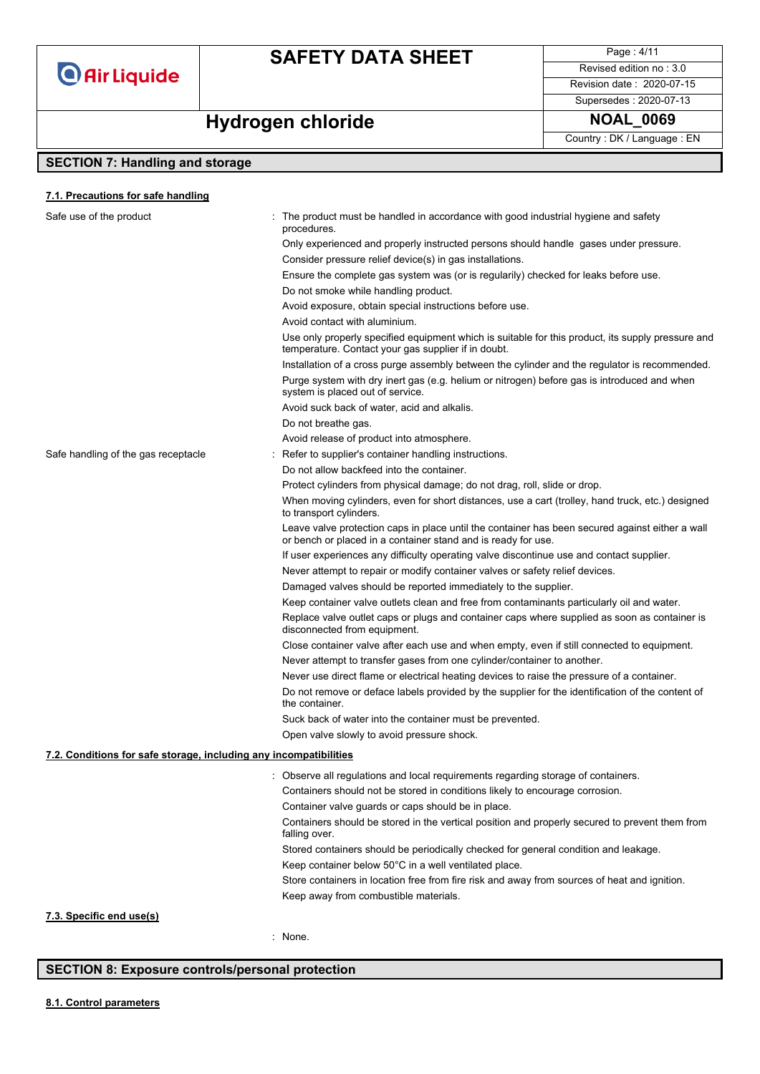

Page : 4/11 Revised edition no : 3.0 Revision date : 2020-07-15

Supersedes : 2020-07-13

### **Hydrogen** chloride **NOAL\_0069**

Country : DK / Language : EN

### **SECTION 7: Handling and storage**

### Safe use of the product interest in the product must be handled in accordance with good industrial hygiene and safety procedures. Only experienced and properly instructed persons should handle gases under pressure. Consider pressure relief device(s) in gas installations. Ensure the complete gas system was (or is regularily) checked for leaks before use. Do not smoke while handling product. Avoid exposure, obtain special instructions before use. Avoid contact with aluminium. Use only properly specified equipment which is suitable for this product, its supply pressure and temperature. Contact your gas supplier if in doubt. Installation of a cross purge assembly between the cylinder and the regulator is recommended. Purge system with dry inert gas (e.g. helium or nitrogen) before gas is introduced and when system is placed out of service. Avoid suck back of water, acid and alkalis. Do not breathe gas. Avoid release of product into atmosphere. Safe handling of the gas receptacle : Refer to supplier's container handling instructions. Do not allow backfeed into the container. Protect cylinders from physical damage; do not drag, roll, slide or drop. When moving cylinders, even for short distances, use a cart (trolley, hand truck, etc.) designed to transport cylinders. Leave valve protection caps in place until the container has been secured against either a wall or bench or placed in a container stand and is ready for use. If user experiences any difficulty operating valve discontinue use and contact supplier. Never attempt to repair or modify container valves or safety relief devices. Damaged valves should be reported immediately to the supplier. Keep container valve outlets clean and free from contaminants particularly oil and water. Replace valve outlet caps or plugs and container caps where supplied as soon as container is disconnected from equipment. Close container valve after each use and when empty, even if still connected to equipment. Never attempt to transfer gases from one cylinder/container to another. Never use direct flame or electrical heating devices to raise the pressure of a container. Do not remove or deface labels provided by the supplier for the identification of the content of the container. Suck back of water into the container must be prevented. Open valve slowly to avoid pressure shock. : Observe all regulations and local requirements regarding storage of containers. Containers should not be stored in conditions likely to encourage corrosion. Container valve guards or caps should be in place. Containers should be stored in the vertical position and properly secured to prevent them from falling over. Stored containers should be periodically checked for general condition and leakage. Keep container below 50°C in a well ventilated place. Store containers in location free from fire risk and away from sources of heat and ignition. Keep away from combustible materials. **7.1. Precautions for safe handling 7.2. Conditions for safe storage, including any incompatibilities 7.3. Specific end use(s)**

: None.

### **SECTION 8: Exposure controls/personal protection**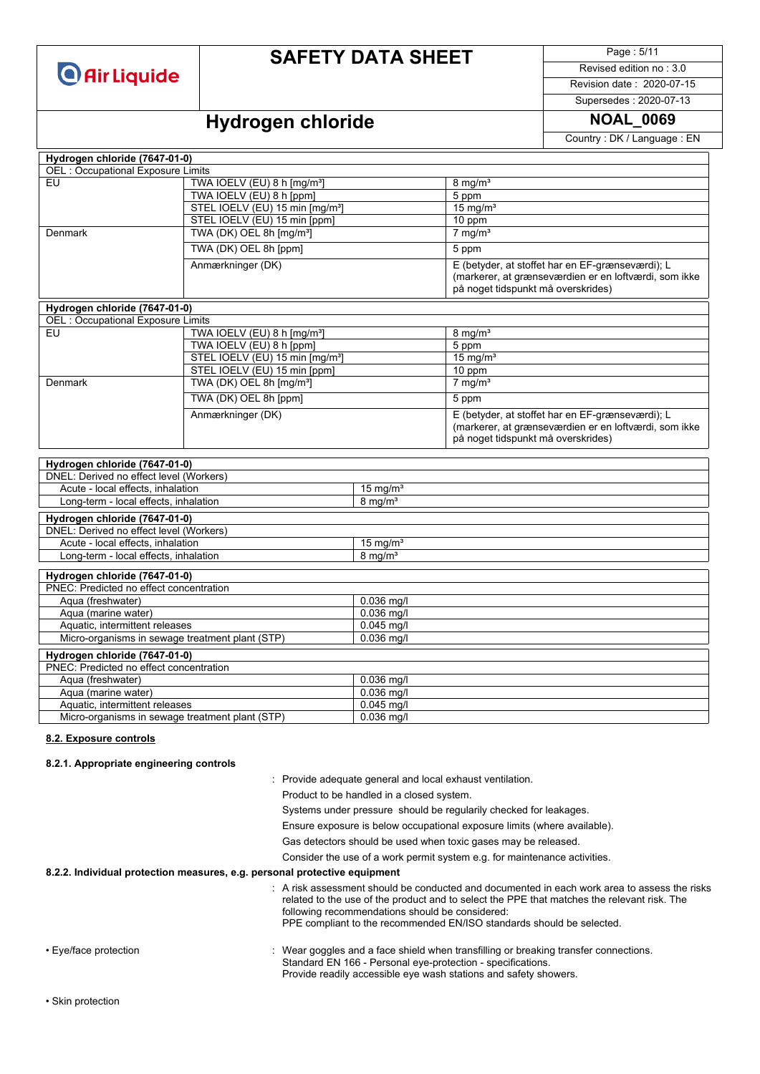| <b>O</b> Air Liquide |  |
|----------------------|--|
|----------------------|--|

Page : 5/11

Revised edition no : 3.0 Revision date : 2020-07-15

Supersedes : 2020-07-13

# **Hydrogen chloride NOAL\_0069**

Country : DK / Language : EN

| Hydrogen chloride (7647-01-0)                                            |                                                                     |                     |                                                                                                                                                 |  |
|--------------------------------------------------------------------------|---------------------------------------------------------------------|---------------------|-------------------------------------------------------------------------------------------------------------------------------------------------|--|
| <b>OEL: Occupational Exposure Limits</b>                                 |                                                                     |                     |                                                                                                                                                 |  |
| EU                                                                       | TWA IOELV (EU) 8 h [mg/m <sup>3</sup> ]                             |                     | $8 \text{ mg/m}^3$                                                                                                                              |  |
|                                                                          | TWA IOELV (EU) 8 h [ppm]                                            |                     | 5 ppm                                                                                                                                           |  |
|                                                                          | STEL IOELV (EU) 15 min [mg/m <sup>3</sup> ]                         |                     | $15$ mg/m <sup>3</sup>                                                                                                                          |  |
|                                                                          | STEL IOELV (EU) 15 min [ppm]                                        |                     | $10$ ppm                                                                                                                                        |  |
| Denmark                                                                  | TWA (DK) OEL 8h [mg/m <sup>3</sup> ]                                |                     | $7$ mg/m <sup>3</sup>                                                                                                                           |  |
|                                                                          | TWA (DK) OEL 8h [ppm]                                               |                     | 5 ppm                                                                                                                                           |  |
|                                                                          | Anmærkninger (DK)                                                   |                     | E (betyder, at stoffet har en EF-grænseværdi); L<br>(markerer, at grænseværdien er en loftværdi, som ikke<br>på noget tidspunkt må overskrides) |  |
|                                                                          |                                                                     |                     |                                                                                                                                                 |  |
| Hydrogen chloride (7647-01-0)                                            |                                                                     |                     |                                                                                                                                                 |  |
| <b>OEL: Occupational Exposure Limits</b><br>EU                           |                                                                     |                     | $8 \text{ mg/m}^3$                                                                                                                              |  |
|                                                                          | TWA IOELV (EU) 8 h [mg/m <sup>3</sup> ]<br>TWA IOELV (EU) 8 h [ppm] |                     |                                                                                                                                                 |  |
|                                                                          | STEL IOELV (EU) 15 min [mg/m <sup>3</sup> ]                         |                     | 5 ppm<br>$15$ mg/m <sup>3</sup>                                                                                                                 |  |
|                                                                          | STEL IOELV (EU) 15 min [ppm]                                        |                     | 10 ppm                                                                                                                                          |  |
| Denmark                                                                  | TWA (DK) OEL 8h [mg/m <sup>3</sup> ]                                |                     | $7 \text{ mg/m}^3$                                                                                                                              |  |
|                                                                          | TWA (DK) OEL 8h [ppm]                                               |                     | 5 ppm                                                                                                                                           |  |
|                                                                          | Anmærkninger (DK)                                                   |                     | E (betyder, at stoffet har en EF-grænseværdi); L                                                                                                |  |
|                                                                          |                                                                     |                     | (markerer, at grænseværdien er en loftværdi, som ikke                                                                                           |  |
|                                                                          |                                                                     |                     | på noget tidspunkt må overskrides)                                                                                                              |  |
|                                                                          |                                                                     |                     |                                                                                                                                                 |  |
| Hydrogen chloride (7647-01-0)<br>DNEL: Derived no effect level (Workers) |                                                                     |                     |                                                                                                                                                 |  |
| Acute - local effects, inhalation                                        |                                                                     | 15 mg/ $m3$         |                                                                                                                                                 |  |
| Long-term - local effects, inhalation                                    |                                                                     | $8 \text{ mg/m}^3$  |                                                                                                                                                 |  |
| Hydrogen chloride (7647-01-0)                                            |                                                                     |                     |                                                                                                                                                 |  |
| DNEL: Derived no effect level (Workers)                                  |                                                                     |                     |                                                                                                                                                 |  |
| Acute - local effects, inhalation<br>15 mg/ $m3$                         |                                                                     |                     |                                                                                                                                                 |  |
| Long-term - local effects, inhalation                                    |                                                                     | 8 mg/m <sup>3</sup> |                                                                                                                                                 |  |
|                                                                          |                                                                     |                     |                                                                                                                                                 |  |
| Hydrogen chloride (7647-01-0)<br>PNEC: Predicted no effect concentration |                                                                     |                     |                                                                                                                                                 |  |
| Aqua (freshwater)                                                        |                                                                     | 0.036 mg/l          |                                                                                                                                                 |  |
| Aqua (marine water)                                                      |                                                                     | 0.036 mg/l          |                                                                                                                                                 |  |
| Aquatic, intermittent releases                                           |                                                                     | $0.045$ mg/l        |                                                                                                                                                 |  |
| Micro-organisms in sewage treatment plant (STP)<br>0.036 mg/l            |                                                                     |                     |                                                                                                                                                 |  |
| Hydrogen chloride (7647-01-0)                                            |                                                                     |                     |                                                                                                                                                 |  |
| PNEC: Predicted no effect concentration                                  |                                                                     |                     |                                                                                                                                                 |  |
| Aqua (freshwater)<br>0.036 mg/l                                          |                                                                     |                     |                                                                                                                                                 |  |
| 0.036 mg/l<br>Aqua (marine water)                                        |                                                                     |                     |                                                                                                                                                 |  |
| $0.045$ mg/l<br>Aquatic, intermittent releases                           |                                                                     |                     |                                                                                                                                                 |  |
| Micro-organisms in sewage treatment plant (STP)                          |                                                                     | $0.036$ mg/l        |                                                                                                                                                 |  |
|                                                                          |                                                                     |                     |                                                                                                                                                 |  |

#### **8.2. Exposure controls**

#### **8.2.1. Appropriate engineering controls**

: Provide adequate general and local exhaust ventilation.

Product to be handled in a closed system.

Systems under pressure should be regularily checked for leakages.

Ensure exposure is below occupational exposure limits (where available).

Gas detectors should be used when toxic gases may be released.

Consider the use of a work permit system e.g. for maintenance activities.

#### **8.2.2. Individual protection measures, e.g. personal protective equipment**

|                       | $\therefore$ A risk assessment should be conducted and documented in each work area to assess the risks<br>related to the use of the product and to select the PPE that matches the relevant risk. The<br>following recommendations should be considered:<br>PPE compliant to the recommended EN/ISO standards should be selected. |
|-----------------------|------------------------------------------------------------------------------------------------------------------------------------------------------------------------------------------------------------------------------------------------------------------------------------------------------------------------------------|
| • Eve/face protection | : Wear goggles and a face shield when transfilling or breaking transfer connections.<br>Standard EN 166 - Personal eye-protection - specifications.<br>Provide readily accessible eye wash stations and safety showers.                                                                                                            |

• Skin protection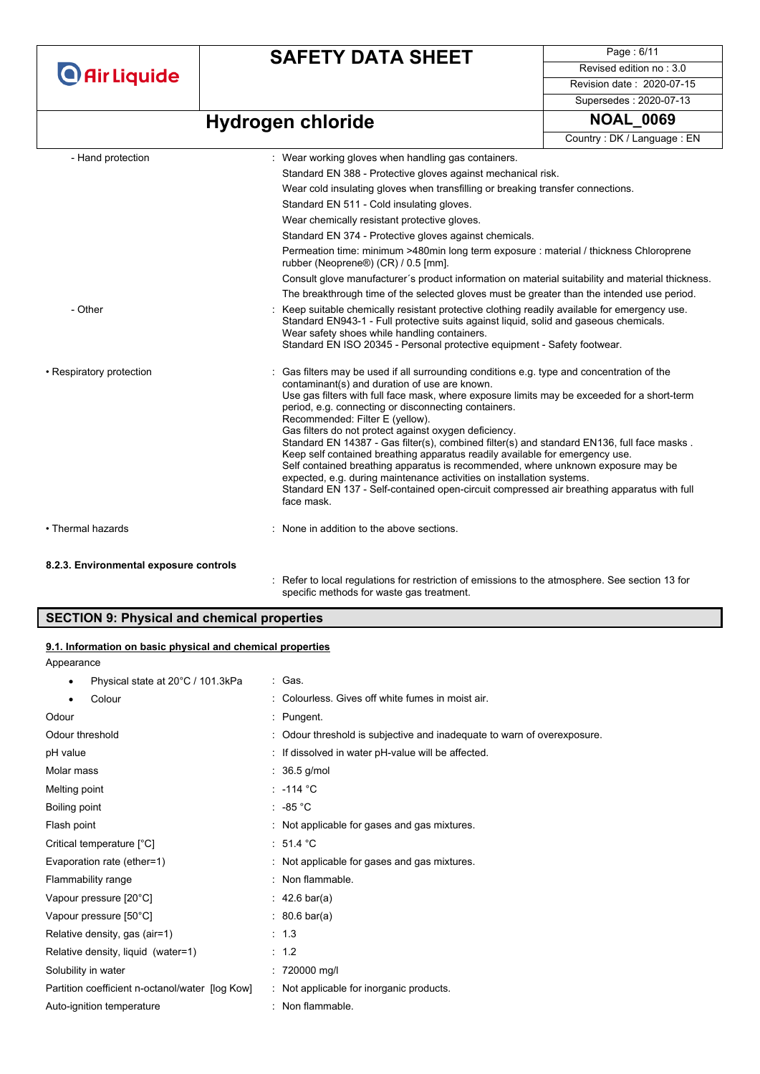### **SAFETY DATA SHEET**

Page : 6/11 Revised edition no : 3.0 Revision date : 2020-07-15 Supersedes : 2020-07-13

# **Hydrogen chloride NOAL\_0069**

Country : DK / Language : EN

| - Hand protection        | : Wear working gloves when handling gas containers.                                                                                                                                                                                                                                                                                                                                                                                                                                                                                                                                                                                                                                                                                                                                                                                                 |
|--------------------------|-----------------------------------------------------------------------------------------------------------------------------------------------------------------------------------------------------------------------------------------------------------------------------------------------------------------------------------------------------------------------------------------------------------------------------------------------------------------------------------------------------------------------------------------------------------------------------------------------------------------------------------------------------------------------------------------------------------------------------------------------------------------------------------------------------------------------------------------------------|
|                          | Standard EN 388 - Protective gloves against mechanical risk.                                                                                                                                                                                                                                                                                                                                                                                                                                                                                                                                                                                                                                                                                                                                                                                        |
|                          | Wear cold insulating gloves when transfilling or breaking transfer connections.                                                                                                                                                                                                                                                                                                                                                                                                                                                                                                                                                                                                                                                                                                                                                                     |
|                          | Standard EN 511 - Cold insulating gloves.                                                                                                                                                                                                                                                                                                                                                                                                                                                                                                                                                                                                                                                                                                                                                                                                           |
|                          | Wear chemically resistant protective gloves.                                                                                                                                                                                                                                                                                                                                                                                                                                                                                                                                                                                                                                                                                                                                                                                                        |
|                          | Standard EN 374 - Protective gloves against chemicals.                                                                                                                                                                                                                                                                                                                                                                                                                                                                                                                                                                                                                                                                                                                                                                                              |
|                          | Permeation time: minimum >480min long term exposure : material / thickness Chloroprene<br>rubber (Neoprene®) (CR) / 0.5 [mm].                                                                                                                                                                                                                                                                                                                                                                                                                                                                                                                                                                                                                                                                                                                       |
|                          | Consult glove manufacturer's product information on material suitability and material thickness.                                                                                                                                                                                                                                                                                                                                                                                                                                                                                                                                                                                                                                                                                                                                                    |
|                          | The breakthrough time of the selected gloves must be greater than the intended use period.                                                                                                                                                                                                                                                                                                                                                                                                                                                                                                                                                                                                                                                                                                                                                          |
| - Other                  | Keep suitable chemically resistant protective clothing readily available for emergency use.<br>Standard EN943-1 - Full protective suits against liguid, solid and gaseous chemicals.<br>Wear safety shoes while handling containers.<br>Standard EN ISO 20345 - Personal protective equipment - Safety footwear.                                                                                                                                                                                                                                                                                                                                                                                                                                                                                                                                    |
| • Respiratory protection | Gas filters may be used if all surrounding conditions e.g. type and concentration of the<br>contaminant(s) and duration of use are known.<br>Use gas filters with full face mask, where exposure limits may be exceeded for a short-term<br>period, e.g. connecting or disconnecting containers.<br>Recommended: Filter E (yellow).<br>Gas filters do not protect against oxygen deficiency.<br>Standard EN 14387 - Gas filter(s), combined filter(s) and standard EN136, full face masks.<br>Keep self contained breathing apparatus readily available for emergency use.<br>Self contained breathing apparatus is recommended, where unknown exposure may be<br>expected, e.g. during maintenance activities on installation systems.<br>Standard EN 137 - Self-contained open-circuit compressed air breathing apparatus with full<br>face mask. |
| • Thermal hazards        | None in addition to the above sections.                                                                                                                                                                                                                                                                                                                                                                                                                                                                                                                                                                                                                                                                                                                                                                                                             |

#### **8.2.3. Environmental exposure controls**

: Refer to local regulations for restriction of emissions to the atmosphere. See section 13 for specific methods for waste gas treatment.

### **SECTION 9: Physical and chemical properties**

### **9.1. Information on basic physical and chemical properties**

Appearance

| Physical state at 20°C / 101.3kPa<br>٠          | : Gas.                                                                  |
|-------------------------------------------------|-------------------------------------------------------------------------|
| Colour<br>$\bullet$                             | : Colourless, Gives off white fumes in moist air.                       |
| Odour                                           | : Pungent.                                                              |
| Odour threshold                                 | : Odour threshold is subjective and inadequate to warn of overexposure. |
| pH value                                        | : If dissolved in water pH-value will be affected.                      |
| Molar mass                                      | $: 36.5$ g/mol                                                          |
| Melting point                                   | : $-114$ °C                                                             |
| Boiling point                                   | $\cdot$ -85 °C                                                          |
| Flash point                                     | : Not applicable for gases and gas mixtures.                            |
| Critical temperature [°C]                       | : 51.4 °C                                                               |
| Evaporation rate (ether=1)                      | : Not applicable for gases and gas mixtures.                            |
| Flammability range                              | : Non flammable.                                                        |
| Vapour pressure [20°C]                          | : 42.6 bar(a)                                                           |
| Vapour pressure [50°C]                          | : 80.6 bar(a)                                                           |
| Relative density, gas (air=1)                   | : 1.3                                                                   |
| Relative density, liquid (water=1)              | : 1.2                                                                   |
| Solubility in water                             | 720000 mg/l                                                             |
| Partition coefficient n-octanol/water [log Kow] | : Not applicable for inorganic products.                                |
| Auto-ignition temperature                       | Non flammable.                                                          |
|                                                 |                                                                         |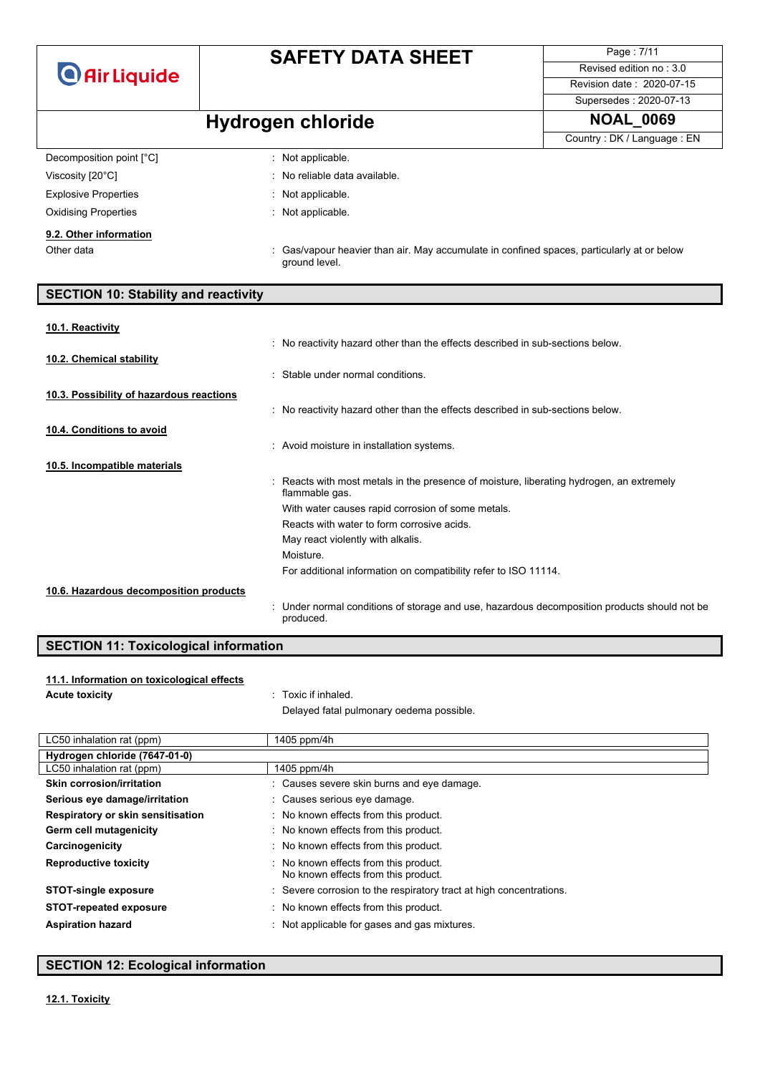Page : 7/11 Revised edition no : 3.0 Revision date : 2020-07-15

### Supersedes : 2020-07-13

# **Hydrogen chloride NOAL\_0069**

|                             |                                                                                                             | Country: DK / Language: EN |
|-----------------------------|-------------------------------------------------------------------------------------------------------------|----------------------------|
| Decomposition point [°C]    | $\therefore$ Not applicable.                                                                                |                            |
| Viscosity [20°C]            | : No reliable data available.                                                                               |                            |
| <b>Explosive Properties</b> | : Not applicable.                                                                                           |                            |
| <b>Oxidising Properties</b> | $\therefore$ Not applicable.                                                                                |                            |
| 9.2. Other information      |                                                                                                             |                            |
| Other data                  | : Gas/vapour heavier than air. May accumulate in confined spaces, particularly at or below<br>ground level. |                            |

### **SECTION 10: Stability and reactivity**

# **10.1. Reactivity**

|                                          | : No reactivity hazard other than the effects described in sub-sections below.                             |
|------------------------------------------|------------------------------------------------------------------------------------------------------------|
| 10.2. Chemical stability                 |                                                                                                            |
|                                          | : Stable under normal conditions.                                                                          |
| 10.3. Possibility of hazardous reactions |                                                                                                            |
|                                          | : No reactivity hazard other than the effects described in sub-sections below.                             |
| 10.4. Conditions to avoid                |                                                                                                            |
|                                          | : Avoid moisture in installation systems.                                                                  |
| 10.5. Incompatible materials             |                                                                                                            |
|                                          | : Reacts with most metals in the presence of moisture, liberating hydrogen, an extremely<br>flammable gas. |
|                                          | With water causes rapid corrosion of some metals.                                                          |
|                                          | Reacts with water to form corrosive acids.                                                                 |
|                                          | May react violently with alkalis.                                                                          |
|                                          | Moisture.                                                                                                  |
|                                          | For additional information on compatibility refer to ISO 11114.                                            |
| 10.6. Hazardous decomposition products   |                                                                                                            |
|                                          | : Under normal conditions of storage and use, hazardous decomposition products should not be<br>produced.  |

### **SECTION 11: Toxicological information**

#### **11.1. Information on toxicological effects**

**Acute toxicity** : Toxic if inhaled. Delayed fatal pulmonary oedema possible.

| LC50 inhalation rat (ppm)         | 1405 ppm/4h                                                                  |
|-----------------------------------|------------------------------------------------------------------------------|
| Hydrogen chloride (7647-01-0)     |                                                                              |
| LC50 inhalation rat (ppm)         | 1405 ppm/4h                                                                  |
| Skin corrosion/irritation         | : Causes severe skin burns and eye damage.                                   |
| Serious eye damage/irritation     | : Causes serious eye damage.                                                 |
| Respiratory or skin sensitisation | : No known effects from this product.                                        |
| Germ cell mutagenicity            | : No known effects from this product.                                        |
| Carcinogenicity                   | : No known effects from this product.                                        |
| <b>Reproductive toxicity</b>      | : No known effects from this product.<br>No known effects from this product. |
| <b>STOT-single exposure</b>       | : Severe corrosion to the respiratory tract at high concentrations.          |
| <b>STOT-repeated exposure</b>     | : No known effects from this product.                                        |
| <b>Aspiration hazard</b>          | : Not applicable for gases and gas mixtures.                                 |

### **SECTION 12: Ecological information**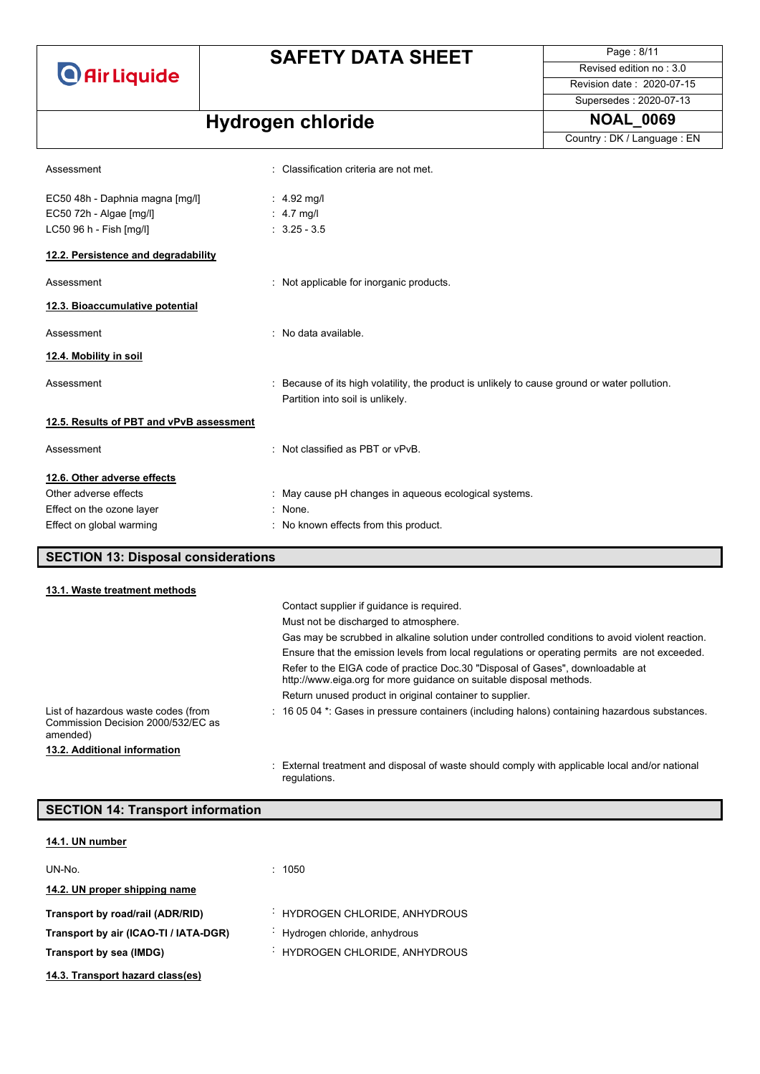### **SAFETY DATA SHEET**

Page : 8/11 Revised edition no : 3.0 Revision date : 2020-07-15

Supersedes : 2020-07-13

Country : DK / Language : EN

# **Hydrogen chloride NOAL\_0069**

| Assessment                                                                            | : Classification criteria are not met.                                                                                            |
|---------------------------------------------------------------------------------------|-----------------------------------------------------------------------------------------------------------------------------------|
| EC50 48h - Daphnia magna [mg/l]<br>EC50 72h - Algae [mg/l]<br>LC50 96 h - Fish [mg/l] | : $4.92 \text{ mg/l}$<br>: $4.7 \text{ mq/l}$<br>$: 3.25 - 3.5$                                                                   |
| 12.2. Persistence and degradability                                                   |                                                                                                                                   |
| Assessment                                                                            | : Not applicable for inorganic products.                                                                                          |
| 12.3. Bioaccumulative potential                                                       |                                                                                                                                   |
| Assessment                                                                            | : No data available.                                                                                                              |
| 12.4. Mobility in soil                                                                |                                                                                                                                   |
| Assessment                                                                            | : Because of its high volatility, the product is unlikely to cause ground or water pollution.<br>Partition into soil is unlikely. |
| 12.5. Results of PBT and vPvB assessment                                              |                                                                                                                                   |
| Assessment                                                                            | : Not classified as PBT or $vPvB$ .                                                                                               |
| 12.6. Other adverse effects                                                           |                                                                                                                                   |
| Other adverse effects                                                                 | : May cause pH changes in aqueous ecological systems.                                                                             |
| Effect on the ozone layer                                                             | $:$ None.                                                                                                                         |
| Effect on global warming                                                              | : No known effects from this product.                                                                                             |
| <b>SECTION 13: Disposal considerations</b>                                            |                                                                                                                                   |
| 13.1. Waste treatment methods                                                         |                                                                                                                                   |

|                                                                                       | Contact supplier if quidance is required.                                                                                                             |
|---------------------------------------------------------------------------------------|-------------------------------------------------------------------------------------------------------------------------------------------------------|
|                                                                                       | Must not be discharged to atmosphere.                                                                                                                 |
|                                                                                       | Gas may be scrubbed in alkaline solution under controlled conditions to avoid violent reaction.                                                       |
|                                                                                       | Ensure that the emission levels from local regulations or operating permits are not exceeded.                                                         |
|                                                                                       | Refer to the EIGA code of practice Doc.30 "Disposal of Gases", downloadable at<br>http://www.eiga.org for more guidance on suitable disposal methods. |
|                                                                                       | Return unused product in original container to supplier.                                                                                              |
| List of hazardous waste codes (from<br>Commission Decision 2000/532/EC as<br>amended) | : 16 05 04 *: Gases in pressure containers (including halons) containing hazardous substances.                                                        |
| 13.2. Additional information                                                          |                                                                                                                                                       |
|                                                                                       | : External treatment and disposal of waste should comply with applicable local and/or national<br>regulations.                                        |

| <b>SECTION 14: Transport information</b> |                              |
|------------------------------------------|------------------------------|
| 14.1. UN number                          |                              |
| UN-No.                                   | 1050<br>٠.                   |
| 14.2. UN proper shipping name            |                              |
| Transport by road/rail (ADR/RID)         | HYDROGEN CHLORIDE, ANHYDROUS |
| Transport by air (ICAO-TI / IATA-DGR)    | Hydrogen chloride, anhydrous |
| Transport by sea (IMDG)                  | HYDROGEN CHLORIDE, ANHYDROUS |
| 14.3. Transport hazard class(es)         |                              |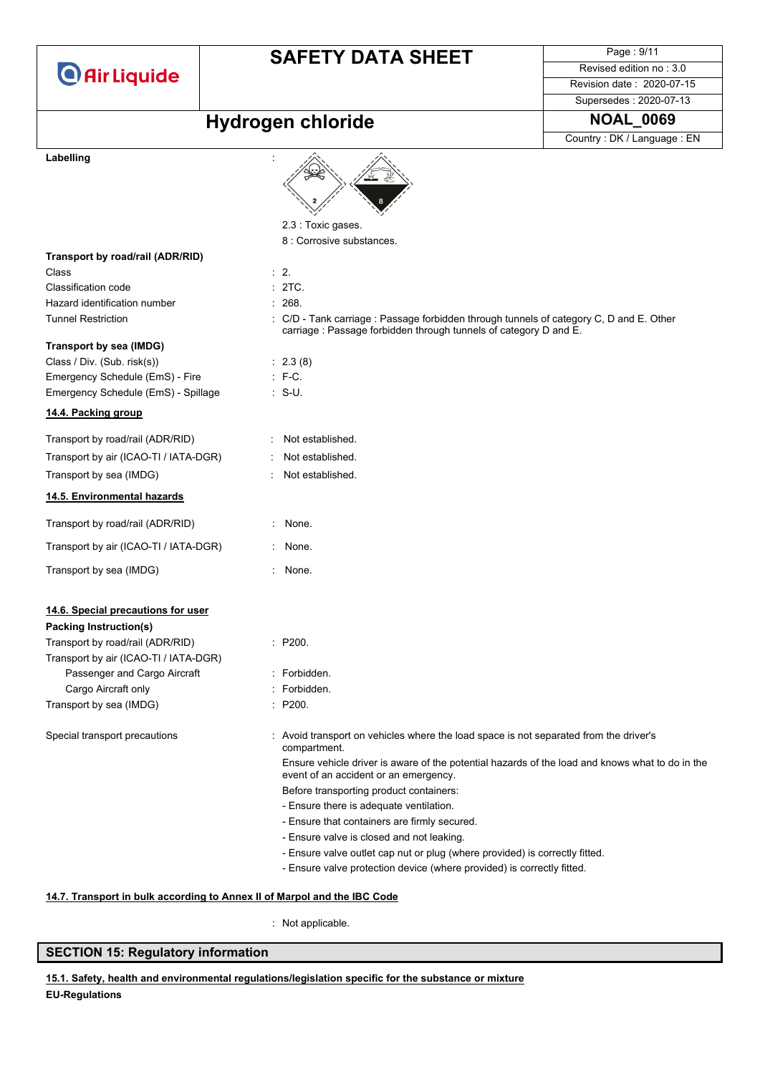### **SAFETY DATA SHEET**

Page : 9/11 Revised edition no : 3.0 Revision date : 2020-07-15

Supersedes : 2020-07-13

### $Hydrogen$  **chloride NOAL\_0069**

Country : DK / Language : EN

#### Labelling



#### **14.7. Transport in bulk according to Annex II of Marpol and the IBC Code**

: Not applicable.

#### **SECTION 15: Regulatory information**

**EU-Regulations 15.1. Safety, health and environmental regulations/legislation specific for the substance or mixture**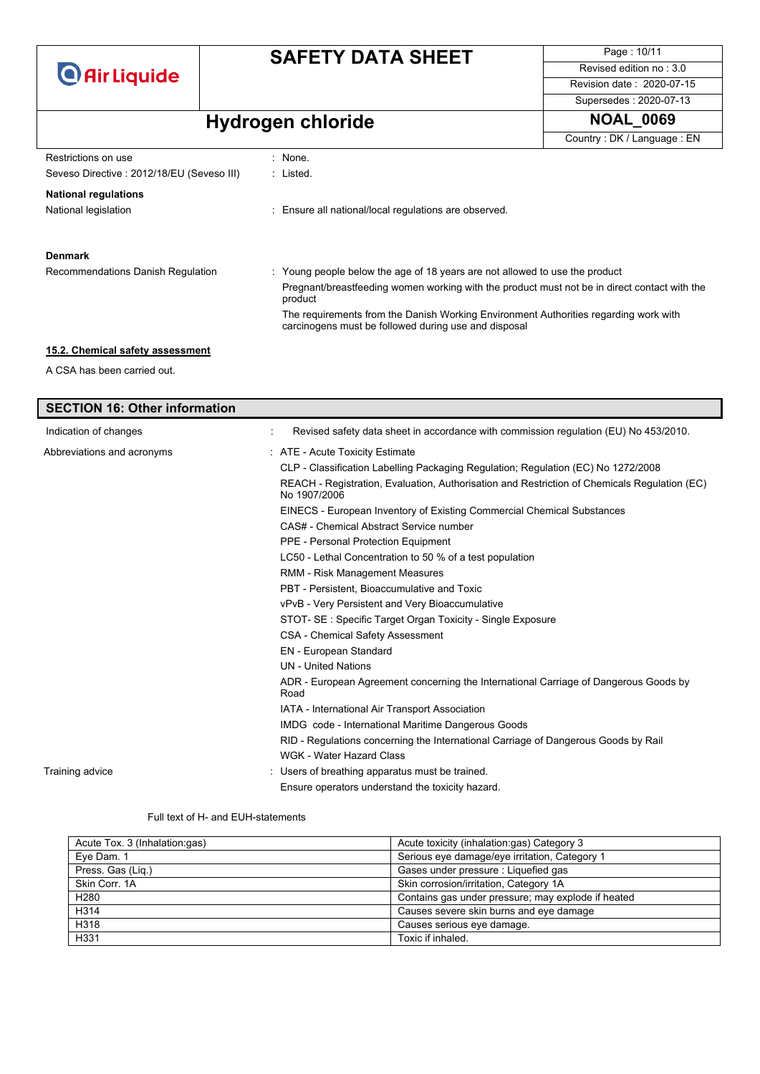

Page : 10/11 Revised edition no : 3.0 Revision date : 2020-07-15 Supersedes : 2020-07-13

# **Hydrogen chloride NOAL\_0069**

|                                           |                                                                                                                                              | Country: DK / Language: EN |
|-------------------------------------------|----------------------------------------------------------------------------------------------------------------------------------------------|----------------------------|
| Restrictions on use                       | : None.                                                                                                                                      |                            |
| Seveso Directive: 2012/18/EU (Seveso III) | : Listed.                                                                                                                                    |                            |
| <b>National regulations</b>               |                                                                                                                                              |                            |
| National legislation                      | : Ensure all national/local regulations are observed.                                                                                        |                            |
|                                           |                                                                                                                                              |                            |
| <b>Denmark</b>                            |                                                                                                                                              |                            |
| Recommendations Danish Regulation         | : Young people below the age of 18 years are not allowed to use the product                                                                  |                            |
|                                           | Pregnant/breastfeeding women working with the product must not be in direct contact with the<br>product                                      |                            |
|                                           | The requirements from the Danish Working Environment Authorities regarding work with<br>carcinogens must be followed during use and disposal |                            |
| 15.2. Chemical safety assessment          |                                                                                                                                              |                            |
| A CSA has been carried out.               |                                                                                                                                              |                            |
|                                           |                                                                                                                                              |                            |
| <b>SECTION 16: Other information</b>      |                                                                                                                                              |                            |

| Indication of changes      | Revised safety data sheet in accordance with commission regulation (EU) No 453/2010.                         |
|----------------------------|--------------------------------------------------------------------------------------------------------------|
| Abbreviations and acronyms | : ATE - Acute Toxicity Estimate                                                                              |
|                            | CLP - Classification Labelling Packaging Regulation; Regulation (EC) No 1272/2008                            |
|                            | REACH - Registration, Evaluation, Authorisation and Restriction of Chemicals Regulation (EC)<br>No 1907/2006 |
|                            | EINECS - European Inventory of Existing Commercial Chemical Substances                                       |
|                            | CAS# - Chemical Abstract Service number                                                                      |
|                            | PPE - Personal Protection Equipment                                                                          |
|                            | LC50 - Lethal Concentration to 50 % of a test population                                                     |
|                            | RMM - Risk Management Measures                                                                               |
|                            | PBT - Persistent. Bioaccumulative and Toxic                                                                  |
|                            | vPvB - Very Persistent and Very Bioaccumulative                                                              |
|                            | STOT- SE: Specific Target Organ Toxicity - Single Exposure                                                   |
|                            | <b>CSA - Chemical Safety Assessment</b>                                                                      |
|                            | EN - European Standard                                                                                       |
|                            | <b>UN</b> - United Nations                                                                                   |
|                            | ADR - European Agreement concerning the International Carriage of Dangerous Goods by<br>Road                 |
|                            | IATA - International Air Transport Association                                                               |
|                            | IMDG code - International Maritime Dangerous Goods                                                           |
|                            | RID - Regulations concerning the International Carriage of Dangerous Goods by Rail                           |
|                            | WGK - Water Hazard Class                                                                                     |
| Training advice            | Users of breathing apparatus must be trained.                                                                |
|                            | Ensure operators understand the toxicity hazard.                                                             |

Full text of H- and EUH-statements

| Acute Tox. 3 (Inhalation:gas) | Acute toxicity (inhalation:gas) Category 3         |
|-------------------------------|----------------------------------------------------|
| Eve Dam. 1                    | Serious eye damage/eye irritation, Category 1      |
| Press. Gas (Liq.)             | Gases under pressure : Liquefied gas               |
| Skin Corr. 1A                 | Skin corrosion/irritation, Category 1A             |
| H <sub>280</sub>              | Contains gas under pressure; may explode if heated |
| H314                          | Causes severe skin burns and eye damage            |
| H318                          | Causes serious eye damage.                         |
| H331                          | Toxic if inhaled.                                  |